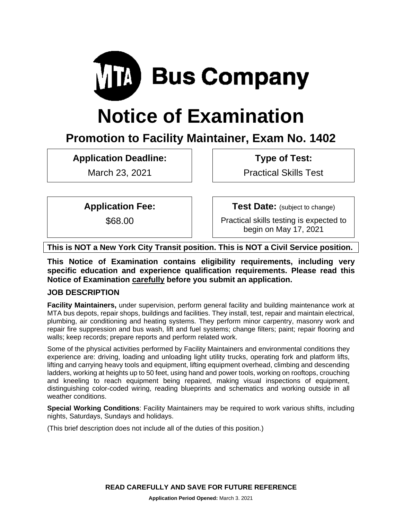

# **Notice of Examination**

# **Promotion to Facility Maintainer, Exam No. 1402**

**Application Deadline:**

March 23, 2021

**Type of Test:** 

Practical Skills Test

**Application Fee:**

\$68.00

**Test Date:** (subject to change)

Practical skills testing is expected to begin on May 17, 2021

**This is NOT a New York City Transit position. This is NOT a Civil Service position.**

**This Notice of Examination contains eligibility requirements, including very specific education and experience qualification requirements. Please read this Notice of Examination carefully before you submit an application.**

# **JOB DESCRIPTION**

**Facility Maintainers,** under supervision, perform general facility and building maintenance work at MTA bus depots, repair shops, buildings and facilities. They install, test, repair and maintain electrical, plumbing, air conditioning and heating systems. They perform minor carpentry, masonry work and repair fire suppression and bus wash, lift and fuel systems; change filters; paint; repair flooring and walls; keep records; prepare reports and perform related work.

Some of the physical activities performed by Facility Maintainers and environmental conditions they experience are: driving, loading and unloading light utility trucks, operating fork and platform lifts, lifting and carrying heavy tools and equipment, lifting equipment overhead, climbing and descending ladders, working at heights up to 50 feet, using hand and power tools, working on rooftops, crouching and kneeling to reach equipment being repaired, making visual inspections of equipment, distinguishing color-coded wiring, reading blueprints and schematics and working outside in all weather conditions.

**Special Working Conditions**: Facility Maintainers may be required to work various shifts, including nights, Saturdays, Sundays and holidays.

(This brief description does not include all of the duties of this position.)

**READ CAREFULLY AND SAVE FOR FUTURE REFERENCE**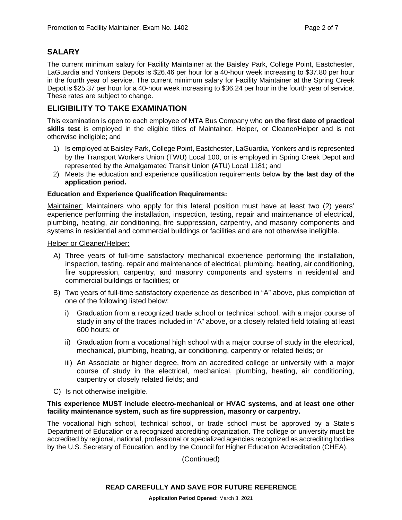# **SALARY**

The current minimum salary for Facility Maintainer at the Baisley Park, College Point, Eastchester, LaGuardia and Yonkers Depots is \$26.46 per hour for a 40-hour week increasing to \$37.80 per hour in the fourth year of service. The current minimum salary for Facility Maintainer at the Spring Creek Depot is \$25.37 per hour for a 40-hour week increasing to \$36.24 per hour in the fourth year of service. These rates are subject to change.

# **ELIGIBILITY TO TAKE EXAMINATION**

This examination is open to each employee of MTA Bus Company who **on the first date of practical skills test** is employed in the eligible titles of Maintainer, Helper, or Cleaner/Helper and is not otherwise ineligible; and

- 1) Is employed at Baisley Park, College Point, Eastchester, LaGuardia, Yonkers and is represented by the Transport Workers Union (TWU) Local 100, or is employed in Spring Creek Depot and represented by the Amalgamated Transit Union (ATU) Local 1181; and
- 2) Meets the education and experience qualification requirements below **by the last day of the application period.**

#### **Education and Experience Qualification Requirements:**

Maintainer: Maintainers who apply for this lateral position must have at least two (2) years' experience performing the installation, inspection, testing, repair and maintenance of electrical, plumbing, heating, air conditioning, fire suppression, carpentry, and masonry components and systems in residential and commercial buildings or facilities and are not otherwise ineligible.

#### Helper or Cleaner/Helper:

- A) Three years of full-time satisfactory mechanical experience performing the installation, inspection, testing, repair and maintenance of electrical, plumbing, heating, air conditioning, fire suppression, carpentry, and masonry components and systems in residential and commercial buildings or facilities; or
- B) Two years of full-time satisfactory experience as described in "A" above, plus completion of one of the following listed below:
	- i) Graduation from a recognized trade school or technical school, with a major course of study in any of the trades included in "A" above, or a closely related field totaling at least 600 hours; or
	- ii) Graduation from a vocational high school with a major course of study in the electrical, mechanical, plumbing, heating, air conditioning, carpentry or related fields; or
	- iii) An Associate or higher degree, from an accredited college or university with a major course of study in the electrical, mechanical, plumbing, heating, air conditioning, carpentry or closely related fields; and
- C) Is not otherwise ineligible.

#### **This experience MUST include electro-mechanical or HVAC systems, and at least one other facility maintenance system, such as fire suppression, masonry or carpentry.**

The vocational high school, technical school, or trade school must be approved by a State's Department of Education or a recognized accrediting organization. The college or university must be accredited by regional, national, professional or specialized agencies recognized as accrediting bodies by the U.S. Secretary of Education, and by the Council for Higher Education Accreditation (CHEA).

(Continued)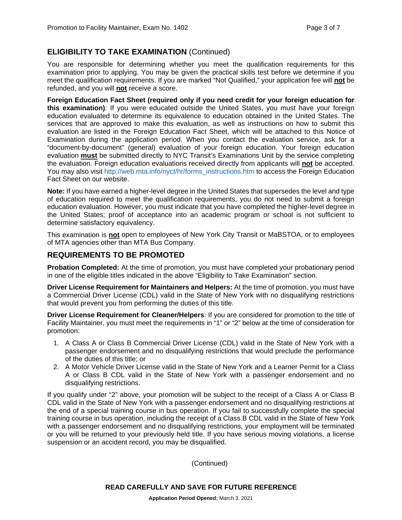# **ELIGIBILITY TO TAKE EXAMINATION** (Continued)

You are responsible for determining whether you meet the qualification requirements for this examination prior to applying. You may be given the practical skills test before we determine if you meet the qualification requirements. If you are marked "Not Qualified," your application fee will **not** be refunded, and you will **not** receive a score.

**Foreign Education Fact Sheet (required only if you need credit for your foreign education for this examination)**: If you were educated outside the United States, you must have your foreign education evaluated to determine its equivalence to education obtained in the United States. The services that are approved to make this evaluation, as well as instructions on how to submit this evaluation are listed in the Foreign Education Fact Sheet, which will be attached to this Notice of Examination during the application period. When you contact the evaluation service, ask for a "document-by-document" (general) evaluation of your foreign education. Your foreign education evaluation **must** be submitted directly to NYC Transit's Examinations Unit by the service completing the evaluation. Foreign education evaluations received directly from applicants will **not** be accepted. You may also visit [http://web.mta.info/nyct/hr/forms\\_instructions.htm](http://web.mta.info/nyct/hr/forms_instructions.htm) to access the Foreign Education Fact Sheet on our website.

**Note:** If you have earned a higher-level degree in the United States that supersedes the level and type of education required to meet the qualification requirements, you do not need to submit a foreign education evaluation. However, you must indicate that you have completed the higher-level degree in the United States; proof of acceptance into an academic program or school is not sufficient to determine satisfactory equivalency.

This examination is **not** open to employees of New York City Transit or MaBSTOA, or to employees of MTA agencies other than MTA Bus Company.

#### **REQUIREMENTS TO BE PROMOTED**

**Probation Completed:** At the time of promotion, you must have completed your probationary period in one of the eligible titles indicated in the above "Eligibility to Take Examination" section.

**Driver License Requirement for Maintainers and Helpers:** At the time of promotion, you must have a Commercial Driver License (CDL) valid in the State of New York with no disqualifying restrictions that would prevent you from performing the duties of this title.

**Driver License Requirement for Cleaner/Helpers**: If you are considered for promotion to the title of Facility Maintainer, you must meet the requirements in "1" or "2" below at the time of consideration for promotion:

- 1. A Class A or Class B Commercial Driver License (CDL) valid in the State of New York with a passenger endorsement and no disqualifying restrictions that would preclude the performance of the duties of this title; or
- 2. A Motor Vehicle Driver License valid in the State of New York and a Learner Permit for a Class A or Class B CDL valid in the State of New York with a passenger endorsement and no disqualifying restrictions.

If you qualify under "2" above, your promotion will be subject to the receipt of a Class A or Class B CDL valid in the State of New York with a passenger endorsement and no disqualifying restrictions at the end of a special training course in bus operation. If you fail to successfully complete the special training course in bus operation, including the receipt of a Class B CDL valid in the State of New York with a passenger endorsement and no disqualifying restrictions, your employment will be terminated or you will be returned to your previously held title. If you have serious moving violations, a license suspension or an accident record, you may be disqualified.

(Continued)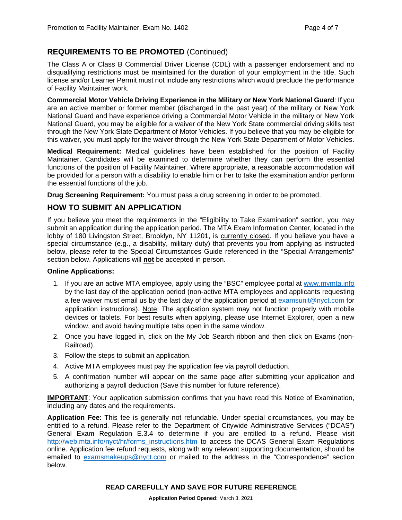# **REQUIREMENTS TO BE PROMOTED** (Continued)

The Class A or Class B Commercial Driver License (CDL) with a passenger endorsement and no disqualifying restrictions must be maintained for the duration of your employment in the title. Such license and/or Learner Permit must not include any restrictions which would preclude the performance of Facility Maintainer work.

**Commercial Motor Vehicle Driving Experience in the Military or New York National Guard**: If you are an active member or former member (discharged in the past year) of the military or New York National Guard and have experience driving a Commercial Motor Vehicle in the military or New York National Guard, you may be eligible for a waiver of the New York State commercial driving skills test through the New York State Department of Motor Vehicles. If you believe that you may be eligible for this waiver, you must apply for the waiver through the New York State Department of Motor Vehicles.

**Medical Requirement:** Medical guidelines have been established for the position of Facility Maintainer. Candidates will be examined to determine whether they can perform the essential functions of the position of Facility Maintainer. Where appropriate, a reasonable accommodation will be provided for a person with a disability to enable him or her to take the examination and/or perform the essential functions of the job.

**Drug Screening Requirement:** You must pass a drug screening in order to be promoted.

# **HOW TO SUBMIT AN APPLICATION**

If you believe you meet the requirements in the "Eligibility to Take Examination" section, you may submit an application during the application period. The MTA Exam Information Center, located in the lobby of 180 Livingston Street, Brooklyn, NY 11201, is currently closed. If you believe you have a special circumstance (e.g., a disability, military duty) that prevents you from applying as instructed below, please refer to the Special Circumstances Guide referenced in the "Special Arrangements" section below. Applications will **not** be accepted in person.

#### **Online Applications:**

- 1. If you are an active MTA employee, apply using the "BSC" employee portal at [www.mymta.info](http://www.mymta.info/) by the last day of the application period (non-active MTA employees and applicants requesting a fee waiver must email us by the last day of the application period at [examsunit@nyct.com](mailto:examsunit@nyct.com) for application instructions). Note: The application system may not function properly with mobile devices or tablets. For best results when applying, please use Internet Explorer, open a new window, and avoid having multiple tabs open in the same window.
- 2. Once you have logged in, click on the My Job Search ribbon and then click on Exams (non-Railroad).
- 3. Follow the steps to submit an application.
- 4. Active MTA employees must pay the application fee via payroll deduction.
- 5. A confirmation number will appear on the same page after submitting your application and authorizing a payroll deduction (Save this number for future reference).

**IMPORTANT**: Your application submission confirms that you have read this Notice of Examination, including any dates and the requirements.

**Application Fee**: This fee is generally not refundable. Under special circumstances, you may be entitled to a refund. Please refer to the Department of Citywide Administrative Services ("DCAS") General Exam Regulation E.3.4 to determine if you are entitled to a refund. Please visit [http://web.mta.info/nyct/hr/forms\\_instructions.htm](http://web.mta.info/nyct/hr/forms_instructions.htm) to access the DCAS General Exam Regulations online. Application fee refund requests, along with any relevant supporting documentation, should be emailed to [examsmakeups@nyct.com](mailto:examsmakeups@nyct.com) or mailed to the address in the "Correspondence" section below.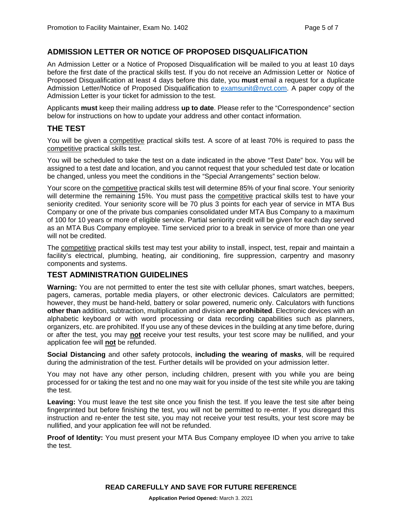#### **ADMISSION LETTER OR NOTICE OF PROPOSED DISQUALIFICATION**

An Admission Letter or a Notice of Proposed Disqualification will be mailed to you at least 10 days before the first date of the practical skills test. If you do not receive an Admission Letter or Notice of Proposed Disqualification at least 4 days before this date, you **must** email a request for a duplicate Admission Letter/Notice of Proposed Disqualification to [examsunit@nyct.com.](mailto:examsunit@nyct.com) A paper copy of the Admission Letter is your ticket for admission to the test.

Applicants **must** keep their mailing address **up to date**. Please refer to the "Correspondence" section below for instructions on how to update your address and other contact information.

#### **THE TEST**

You will be given a competitive practical skills test. A score of at least 70% is required to pass the competitive practical skills test.

You will be scheduled to take the test on a date indicated in the above "Test Date" box. You will be assigned to a test date and location, and you cannot request that your scheduled test date or location be changed, unless you meet the conditions in the "Special Arrangements" section below.

Your score on the competitive practical skills test will determine 85% of your final score. Your seniority will determine the remaining 15%. You must pass the competitive practical skills test to have your seniority credited. Your seniority score will be 70 plus 3 points for each year of service in MTA Bus Company or one of the private bus companies consolidated under MTA Bus Company to a maximum of 100 for 10 years or more of eligible service. Partial seniority credit will be given for each day served as an MTA Bus Company employee. Time serviced prior to a break in service of more than one year will not be credited.

The competitive practical skills test may test your ability to install, inspect, test, repair and maintain a facility's electrical, plumbing, heating, air conditioning, fire suppression, carpentry and masonry components and systems.

#### **TEST ADMINISTRATION GUIDELINES**

**Warning:** You are not permitted to enter the test site with cellular phones, smart watches, beepers, pagers, cameras, portable media players, or other electronic devices. Calculators are permitted; however, they must be hand-held, battery or solar powered, numeric only. Calculators with functions **other than** addition, subtraction, multiplication and division **are prohibited**. Electronic devices with an alphabetic keyboard or with word processing or data recording capabilities such as planners, organizers, etc. are prohibited. If you use any of these devices in the building at any time before, during or after the test, you may **not** receive your test results, your test score may be nullified, and your application fee will **not** be refunded.

**Social Distancing** and other safety protocols, **including the wearing of masks**, will be required during the administration of the test. Further details will be provided on your admission letter.

You may not have any other person, including children, present with you while you are being processed for or taking the test and no one may wait for you inside of the test site while you are taking the test.

**Leaving:** You must leave the test site once you finish the test. If you leave the test site after being fingerprinted but before finishing the test, you will not be permitted to re-enter. If you disregard this instruction and re-enter the test site, you may not receive your test results, your test score may be nullified, and your application fee will not be refunded.

**Proof of Identity:** You must present your MTA Bus Company employee ID when you arrive to take the test.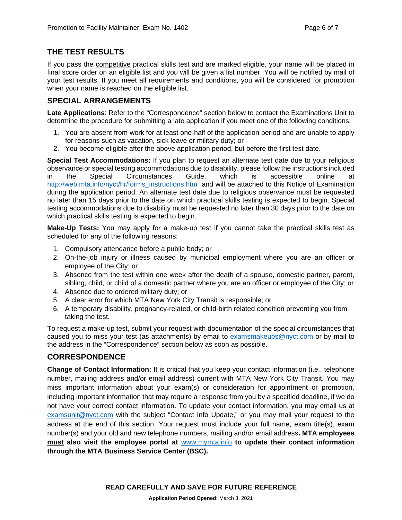#### **THE TEST RESULTS**

If you pass the competitive practical skills test and are marked eligible, your name will be placed in final score order on an eligible list and you will be given a list number. You will be notified by mail of your test results. If you meet all requirements and conditions, you will be considered for promotion when your name is reached on the eligible list.

#### **SPECIAL ARRANGEMENTS**

**Late Applications**: Refer to the "Correspondence" section below to contact the Examinations Unit to determine the procedure for submitting a late application if you meet one of the following conditions:

- 1. You are absent from work for at least one-half of the application period and are unable to apply for reasons such as vacation, sick leave or military duty; or
- 2. You become eligible after the above application period, but before the first test date.

**Special Test Accommodations:** If you plan to request an alternate test date due to your religious observance or special testing accommodations due to disability, please follow the instructions included in the Special Circumstances Guide, which is accessible online at [http://web.mta.info/nyct/hr/forms\\_instructions.htm](http://web.mta.info/nyct/hr/forms_instructions.htm) and will be attached to this Notice of Examination during the application period. An alternate test date due to religious observance must be requested no later than 15 days prior to the date on which practical skills testing is expected to begin. Special testing accommodations due to disability must be requested no later than 30 days prior to the date on which practical skills testing is expected to begin.

**Make-Up Tests:** You may apply for a make-up test if you cannot take the practical skills test as scheduled for any of the following reasons:

- 1. Compulsory attendance before a public body; or
- 2. On-the-job injury or illness caused by municipal employment where you are an officer or employee of the City; or
- 3. Absence from the test within one week after the death of a spouse, domestic partner, parent, sibling, child, or child of a domestic partner where you are an officer or employee of the City; or
- 4. Absence due to ordered military duty; or
- 5. A clear error for which MTA New York City Transit is responsible; or
- 6. A temporary disability, pregnancy-related, or child-birth related condition preventing you from taking the test.

To request a make-up test, submit your request with documentation of the special circumstances that caused you to miss your test (as attachments) by email to [examsmakeups@nyct.com](mailto:examsmakeups@nyct.com) or by mail to the address in the "Correspondence" section below as soon as possible.

# **CORRESPONDENCE**

**Change of Contact Information:** It is critical that you keep your contact information (i.e., telephone number, mailing address and/or email address) current with MTA New York City Transit. You may miss important information about your exam(s) or consideration for appointment or promotion, including important information that may require a response from you by a specified deadline, if we do not have your correct contact information. To update your contact information, you may email us at [examsunit@nyct.com](mailto:examsunit@nyct.com) with the subject "Contact Info Update," or you may mail your request to the address at the end of this section. Your request must include your full name, exam title(s), exam number(s) and your old and new telephone numbers, mailing and/or email address**. MTA employees must also visit the employee portal at** [www.mymta.info](http://www.mymta.info/) **to update their contact information through the MTA Business Service Center (BSC).**